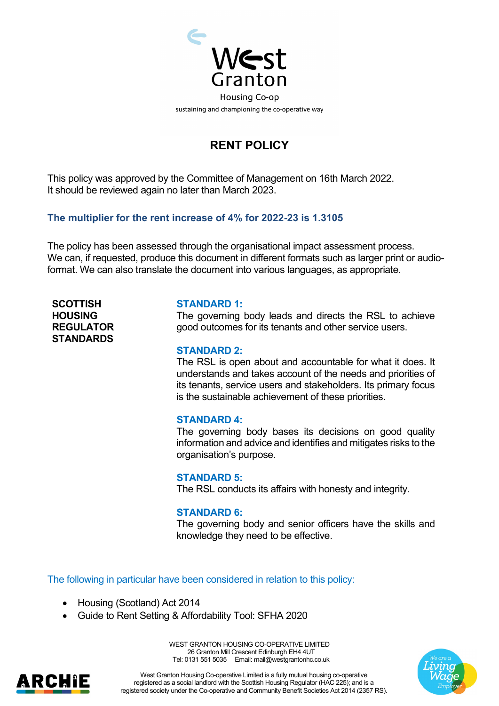

## **RENT POLICY**

This policy was approved by the Committee of Management on 16th March 2022. It should be reviewed again no later than March 2023.

#### **The multiplier for the rent increase of 4% for 2022-23 is 1.3105**

The policy has been assessed through the organisational impact assessment process. We can, if requested, produce this document in different formats such as larger print or audioformat. We can also translate the document into various languages, as appropriate.

**SCOTTISH HOUSING REGULATOR STANDARDS**

#### **STANDARD 1:**

The governing body leads and directs the RSL to achieve good outcomes for its tenants and other service users.

#### **STANDARD 2:**

The RSL is open about and accountable for what it does. It understands and takes account of the needs and priorities of its tenants, service users and stakeholders. Its primary focus is the sustainable achievement of these priorities.

#### **STANDARD 4:**

The governing body bases its decisions on good quality information and advice and identifies and mitigates risks to the organisation's purpose.

#### **STANDARD 5:**

The RSL conducts its affairs with honesty and integrity.

#### **STANDARD 6:**

The governing body and senior officers have the skills and knowledge they need to be effective.

The following in particular have been considered in relation to this policy:

- Housing (Scotland) Act 2014
- Guide to Rent Setting & Affordability Tool: SFHA 2020

WEST GRANTON HOUSING CO-OPERATIVE LIMITED 26 Granton Mill Crescent Edinburgh EH4 4UT Tel: 0131 551 5035 Email: mail@westgrantonhc.co.uk



West Granton Housing Co-operative Limited is a fully mutual housing co-operative registered as a social landlord with the Scottish Housing Regulator (HAC 225); and is a registered society under the Co-operative and Community Benefit Societies Act 2014 (2357 RS).

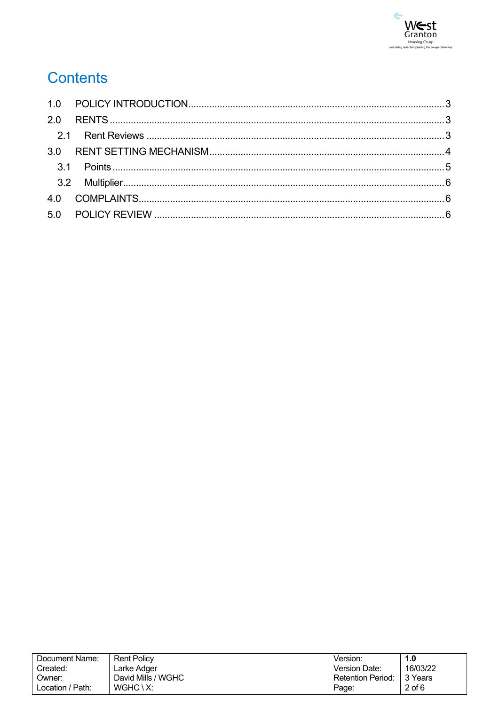

# **Contents**

| Document Name:   | <b>Rent Policy</b>   | Version:                 | 1.0        |
|------------------|----------------------|--------------------------|------------|
| Created:         | Larke Adger          | Version Date:            | 16/03/22   |
| Owner:           | David Mills / WGHC   | <b>Retention Period:</b> | 3 Years    |
| Location / Path: | $WGHC \setminus X$ : | Page:                    | $2$ of $6$ |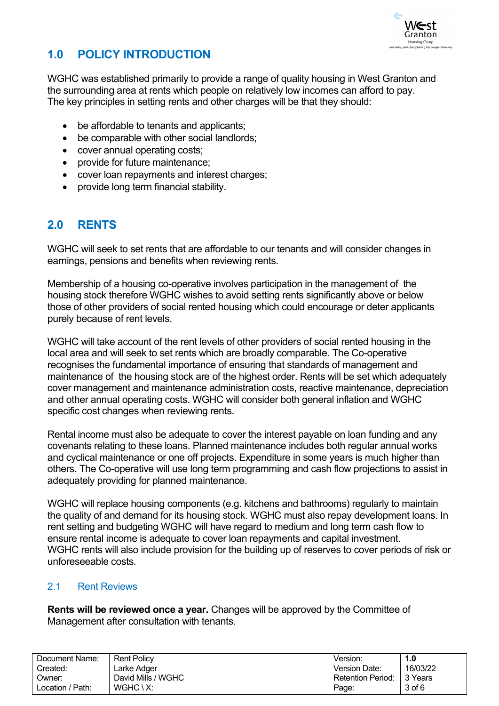

# <span id="page-2-0"></span>**1.0 POLICY INTRODUCTION**

WGHC was established primarily to provide a range of quality housing in West Granton and the surrounding area at rents which people on relatively low incomes can afford to pay. The key principles in setting rents and other charges will be that they should:

- be affordable to tenants and applicants;
- be comparable with other social landlords;
- cover annual operating costs;
- provide for future maintenance:
- cover loan repayments and interest charges;
- provide long term financial stability.

# <span id="page-2-1"></span>**2.0 RENTS**

WGHC will seek to set rents that are affordable to our tenants and will consider changes in earnings, pensions and benefits when reviewing rents.

Membership of a housing co-operative involves participation in the management of the housing stock therefore WGHC wishes to avoid setting rents significantly above or below those of other providers of social rented housing which could encourage or deter applicants purely because of rent levels.

WGHC will take account of the rent levels of other providers of social rented housing in the local area and will seek to set rents which are broadly comparable. The Co-operative recognises the fundamental importance of ensuring that standards of management and maintenance of the housing stock are of the highest order. Rents will be set which adequately cover management and maintenance administration costs, reactive maintenance, depreciation and other annual operating costs. WGHC will consider both general inflation and WGHC specific cost changes when reviewing rents.

Rental income must also be adequate to cover the interest payable on loan funding and any covenants relating to these loans. Planned maintenance includes both regular annual works and cyclical maintenance or one off projects. Expenditure in some years is much higher than others. The Co-operative will use long term programming and cash flow projections to assist in adequately providing for planned maintenance.

WGHC will replace housing components (e.g. kitchens and bathrooms) regularly to maintain the quality of and demand for its housing stock. WGHC must also repay development loans. In rent setting and budgeting WGHC will have regard to medium and long term cash flow to ensure rental income is adequate to cover loan repayments and capital investment. WGHC rents will also include provision for the building up of reserves to cover periods of risk or unforeseeable costs.

### <span id="page-2-2"></span>2.1 Rent Reviews

**Rents will be reviewed once a year.** Changes will be approved by the Committee of Management after consultation with tenants.

| Document Name:   | <b>Rent Policy</b>   | Version:                 | 1.0        |
|------------------|----------------------|--------------------------|------------|
| Created:         | Larke Adger          | Version Date:            | 16/03/22   |
| Owner:           | David Mills / WGHC   | <b>Retention Period:</b> | 3 Years    |
| Location / Path: | $WGHC \setminus X$ : | Page:                    | $3$ of $6$ |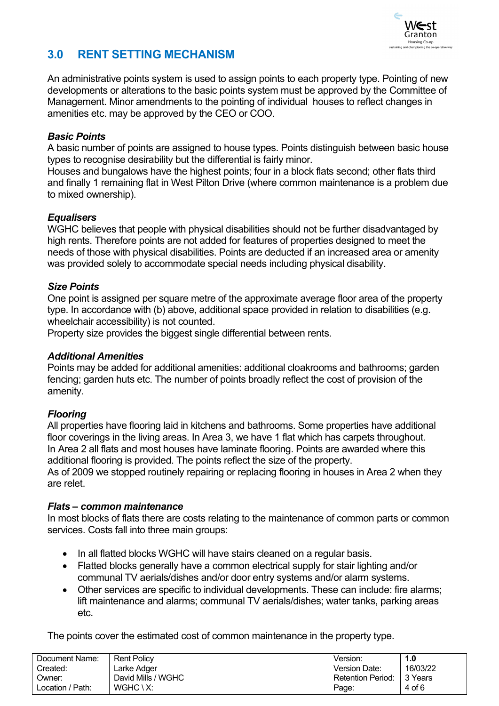

# <span id="page-3-0"></span>**3.0 RENT SETTING MECHANISM**

An administrative points system is used to assign points to each property type. Pointing of new developments or alterations to the basic points system must be approved by the Committee of Management. Minor amendments to the pointing of individual houses to reflect changes in amenities etc. may be approved by the CEO or COO.

#### *Basic Points*

A basic number of points are assigned to house types. Points distinguish between basic house types to recognise desirability but the differential is fairly minor.

Houses and bungalows have the highest points; four in a block flats second; other flats third and finally 1 remaining flat in West Pilton Drive (where common maintenance is a problem due to mixed ownership).

#### *Equalisers*

WGHC believes that people with physical disabilities should not be further disadvantaged by high rents. Therefore points are not added for features of properties designed to meet the needs of those with physical disabilities. Points are deducted if an increased area or amenity was provided solely to accommodate special needs including physical disability.

#### *Size Points*

One point is assigned per square metre of the approximate average floor area of the property type. In accordance with (b) above, additional space provided in relation to disabilities (e.g. wheelchair accessibility) is not counted.

Property size provides the biggest single differential between rents.

#### *Additional Amenities*

Points may be added for additional amenities: additional cloakrooms and bathrooms; garden fencing; garden huts etc. The number of points broadly reflect the cost of provision of the amenity.

#### *Flooring*

All properties have flooring laid in kitchens and bathrooms. Some properties have additional floor coverings in the living areas. In Area 3, we have 1 flat which has carpets throughout. In Area 2 all flats and most houses have laminate flooring. Points are awarded where this additional flooring is provided. The points reflect the size of the property.

As of 2009 we stopped routinely repairing or replacing flooring in houses in Area 2 when they are relet.

#### *Flats – common maintenance*

In most blocks of flats there are costs relating to the maintenance of common parts or common services. Costs fall into three main groups:

- In all flatted blocks WGHC will have stairs cleaned on a regular basis.
- Flatted blocks generally have a common electrical supply for stair lighting and/or communal TV aerials/dishes and/or door entry systems and/or alarm systems.
- Other services are specific to individual developments. These can include: fire alarms; lift maintenance and alarms; communal TV aerials/dishes; water tanks, parking areas etc.

The points cover the estimated cost of common maintenance in the property type.

| Document Name:   | Rent Policy          | Version.                 | 1.0      |
|------------------|----------------------|--------------------------|----------|
| Created:         | Larke Adger          | <b>Version Date:</b>     | 16/03/22 |
| Owner:           | David Mills / WGHC   | <b>Retention Period:</b> | 3 Years  |
| Location / Path: | $WGHC \setminus X$ : | Page.                    | 4 of 6   |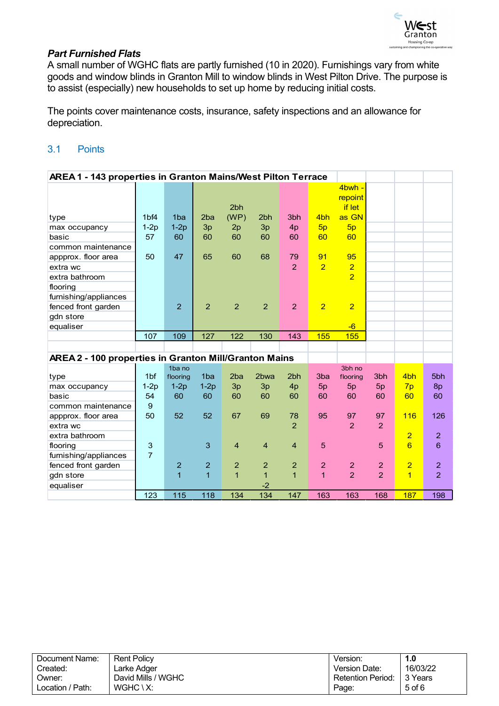

#### *Part Furnished Flats*

A small number of WGHC flats are partly furnished (10 in 2020). Furnishings vary from white goods and window blinds in Granton Mill to window blinds in West Pilton Drive. The purpose is to assist (especially) new households to set up home by reducing initial costs.

The points cover maintenance costs, insurance, safety inspections and an allowance for depreciation.

### <span id="page-4-0"></span>3.1 Points

| AREA 1 - 143 properties in Granton Mains/West Pilton Terrace |                  |                 |                 |                |                  |                 |                 |                |                 |                 |                 |
|--------------------------------------------------------------|------------------|-----------------|-----------------|----------------|------------------|-----------------|-----------------|----------------|-----------------|-----------------|-----------------|
|                                                              |                  |                 |                 |                |                  |                 |                 | 4bwh -         |                 |                 |                 |
|                                                              |                  |                 |                 |                |                  |                 |                 | repoint        |                 |                 |                 |
|                                                              |                  |                 |                 | 2bh            |                  |                 |                 | if let         |                 |                 |                 |
| type                                                         | 1 <sub>bf4</sub> | 1 <sub>ba</sub> | 2 <sub>ba</sub> | (WP)           | 2bh              | 3 <sub>bh</sub> | 4 <sub>bh</sub> | as GN          |                 |                 |                 |
| max occupancy                                                | $1-2p$           | $1-2p$          | 3p              | 2p             | 3p               | 4p              | 5p              | 5p             |                 |                 |                 |
| basic                                                        | 57               | 60              | 60              | 60             | 60               | 60              | 60              | 60             |                 |                 |                 |
| common maintenance                                           |                  |                 |                 |                |                  |                 |                 |                |                 |                 |                 |
| appprox. floor area                                          | 50               | 47              | 65              | 60             | 68               | 79              | 91              | 95             |                 |                 |                 |
| extra wc                                                     |                  |                 |                 |                |                  | $\overline{2}$  | $\overline{2}$  | $\overline{2}$ |                 |                 |                 |
| extra bathroom                                               |                  |                 |                 |                |                  |                 |                 | $\overline{2}$ |                 |                 |                 |
| flooring                                                     |                  |                 |                 |                |                  |                 |                 |                |                 |                 |                 |
| furnishing/appliances                                        |                  |                 |                 |                |                  |                 |                 |                |                 |                 |                 |
| fenced front garden                                          |                  | $\overline{2}$  | $\overline{2}$  | $\overline{2}$ | $\overline{2}$   | $\overline{2}$  | $\overline{2}$  | $\overline{2}$ |                 |                 |                 |
| gdn store                                                    |                  |                 |                 |                |                  |                 |                 |                |                 |                 |                 |
| equaliser                                                    |                  |                 |                 |                |                  |                 |                 | $-6$           |                 |                 |                 |
|                                                              | 107              | 109             | 127             | 122            | 130              | 143             | 155             | 155            |                 |                 |                 |
|                                                              |                  |                 |                 |                |                  |                 |                 |                |                 |                 |                 |
| AREA 2 - 100 properties in Granton Mill/Granton Mains        |                  |                 |                 |                |                  |                 |                 |                |                 |                 |                 |
|                                                              |                  | 1ba no          |                 |                |                  |                 |                 | 3bh no         |                 |                 |                 |
| type                                                         | 1 <sub>bf</sub>  | flooring        | 1 <sub>ba</sub> | 2ba            | 2 <sub>bwa</sub> | 2 <sub>bh</sub> | 3ba             | flooring       | 3 <sub>bh</sub> | 4 <sub>bh</sub> | 5 <sub>bh</sub> |
| max occupancy                                                | $1-2p$           | $1-2p$          | $1-2p$          | 3p             | 3p               | 4p              | 5 <sub>p</sub>  | 5p             | 5p              | 7p              | 8p              |
| basic                                                        | 54               | 60              | 60              | 60             | 60               | 60              | 60              | 60             | 60              | 60              | 60              |
| common maintenance                                           | 9                |                 |                 |                |                  |                 |                 |                |                 |                 |                 |
| appprox. floor area                                          | 50               | 52              | 52              | 67             | 69               | 78              | 95              | 97             | 97              | 116             | 126             |
| extra wc                                                     |                  |                 |                 |                |                  | $\overline{2}$  |                 | $\overline{2}$ | 2               |                 |                 |
| extra bathroom                                               |                  |                 |                 |                |                  |                 |                 |                |                 | $\overline{2}$  | $\overline{2}$  |
| flooring                                                     | 3                |                 | 3               | $\overline{4}$ | $\overline{4}$   | $\overline{4}$  | 5               |                | $5\phantom{.0}$ | $6\overline{6}$ | $6\phantom{1}6$ |
| furnishing/appliances                                        | $\overline{7}$   |                 |                 |                |                  |                 |                 |                |                 |                 |                 |
| fenced front garden                                          |                  | $\overline{2}$  | $\overline{a}$  | $\overline{a}$ | 2                | $\overline{2}$  | $\overline{c}$  | 2              | $\overline{2}$  | $\overline{2}$  | 2               |
| gdn store                                                    |                  | 1               | $\overline{1}$  | $\overline{1}$ | $\mathbf{1}$     | $\overline{1}$  | $\mathbf 1$     | $\overline{2}$ | $\overline{2}$  | $\overline{1}$  | $\overline{2}$  |
| equaliser                                                    |                  |                 |                 |                | $-2$             |                 |                 |                |                 |                 |                 |
|                                                              | 123              | 115             | 118             | 134            | 134              | 147             | 163             | 163            | 168             | 187             | 198             |

| Document Name:   | <b>Rent Policy</b>   | Version:                 | 1.0        |
|------------------|----------------------|--------------------------|------------|
| Created:         | Larke Adger          | Version Date:            | 16/03/22   |
| Owner:           | David Mills / WGHC   | <b>Retention Period:</b> | l 3 Years  |
| Location / Path: | $WGHC \setminus X$ : | Page:                    | $5$ of $6$ |